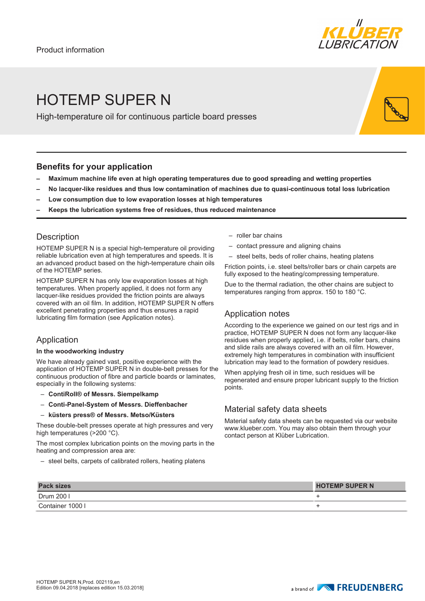

# HOTEMP SUPER N

High-temperature oil for continuous particle board presses

### **Benefits for your application**

- **– Maximum machine life even at high operating temperatures due to good spreading and wetting properties**
- **– No lacquer-like residues and thus low contamination of machines due to quasi-continuous total loss lubrication**
- **– Low consumption due to low evaporation losses at high temperatures**
- **– Keeps the lubrication systems free of residues, thus reduced maintenance**

## **Description**

HOTEMP SUPER N is a special high-temperature oil providing reliable lubrication even at high temperatures and speeds. It is an advanced product based on the high-temperature chain oils of the HOTEMP series.

HOTEMP SUPER N has only low evaporation losses at high temperatures. When properly applied, it does not form any lacquer-like residues provided the friction points are always covered with an oil film. In addition, HOTEMP SUPER N offers excellent penetrating properties and thus ensures a rapid lubricating film formation (see Application notes).

## Application

#### **In the woodworking industry**

We have already gained vast, positive experience with the application of HOTEMP SUPER N in double-belt presses for the continuous production of fibre and particle boards or laminates, especially in the following systems:

- **ContiRoll® of Messrs. Siempelkamp**
- **Conti-Panel-System of Messrs. Dieffenbacher**
- **küsters press® of Messrs. Metso/Küsters**

These double-belt presses operate at high pressures and very high temperatures (>200 °C).

The most complex lubrication points on the moving parts in the heating and compression area are:

– steel belts, carpets of calibrated rollers, heating platens

- roller bar chains
- contact pressure and aligning chains
- steel belts, beds of roller chains, heating platens

Friction points, i.e. steel belts/roller bars or chain carpets are fully exposed to the heating/compressing temperature.

Due to the thermal radiation, the other chains are subject to temperatures ranging from approx. 150 to 180 °C.

## Application notes

According to the experience we gained on our test rigs and in practice, HOTEMP SUPER N does not form any lacquer-like residues when properly applied, i.e. if belts, roller bars, chains and slide rails are always covered with an oil film. However, extremely high temperatures in combination with insufficient lubrication may lead to the formation of powdery residues.

When applying fresh oil in time, such residues will be regenerated and ensure proper lubricant supply to the friction points.

## Material safety data sheets

Material safety data sheets can be requested via our website www.klueber.com. You may also obtain them through your contact person at Klüber Lubrication.

| <b>Pack sizes</b> | <b>HOTEMP SUPER N</b> |
|-------------------|-----------------------|
| Drum 200 l        |                       |
| Container 1000 I  |                       |